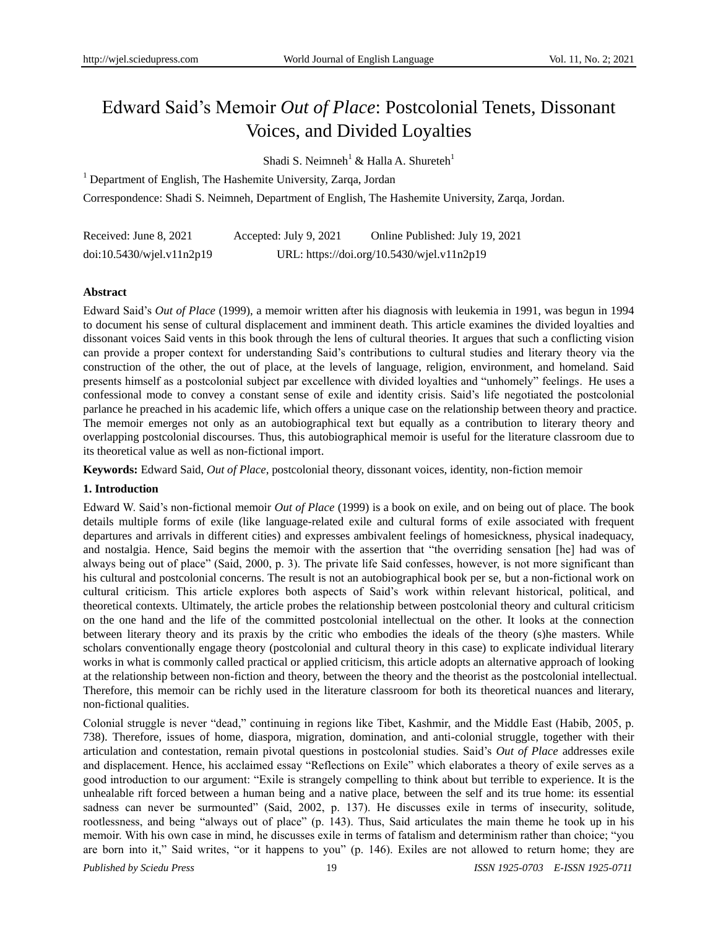# Edward Said's Memoir *Out of Place*: Postcolonial Tenets, Dissonant Voices, and Divided Loyalties

Shadi S. Neimneh<sup>1</sup> & Halla A. Shureteh<sup>1</sup>

<sup>1</sup> Department of English, The Hashemite University, Zarqa, Jordan

Correspondence: Shadi S. Neimneh, Department of English, The Hashemite University, Zarqa, Jordan.

| Received: June 8, 2021          | Accepted: July 9, 2021                     | Online Published: July 19, 2021 |
|---------------------------------|--------------------------------------------|---------------------------------|
| $doi:10.5430/w$ jel.v $11n2p19$ | URL: https://doi.org/10.5430/wjel.v11n2p19 |                                 |

# **Abstract**

Edward Said's *Out of Place* (1999), a memoir written after his diagnosis with leukemia in 1991, was begun in 1994 to document his sense of cultural displacement and imminent death. This article examines the divided loyalties and dissonant voices Said vents in this book through the lens of cultural theories. It argues that such a conflicting vision can provide a proper context for understanding Said's contributions to cultural studies and literary theory via the construction of the other, the out of place, at the levels of language, religion, environment, and homeland. Said presents himself as a postcolonial subject par excellence with divided loyalties and "unhomely" feelings. He uses a confessional mode to convey a constant sense of exile and identity crisis. Said's life negotiated the postcolonial parlance he preached in his academic life, which offers a unique case on the relationship between theory and practice. The memoir emerges not only as an autobiographical text but equally as a contribution to literary theory and overlapping postcolonial discourses. Thus, this autobiographical memoir is useful for the literature classroom due to its theoretical value as well as non-fictional import.

**Keywords:** Edward Said, *Out of Place*, postcolonial theory, dissonant voices, identity, non-fiction memoir

# **1. Introduction**

Edward W. Said's non-fictional memoir *Out of Place* (1999) is a book on exile, and on being out of place. The book details multiple forms of exile (like language-related exile and cultural forms of exile associated with frequent departures and arrivals in different cities) and expresses ambivalent feelings of homesickness, physical inadequacy, and nostalgia. Hence, Said begins the memoir with the assertion that "the overriding sensation [he] had was of always being out of place" (Said, 2000, p. 3). The private life Said confesses, however, is not more significant than his cultural and postcolonial concerns. The result is not an autobiographical book per se, but a non-fictional work on cultural criticism. This article explores both aspects of Said's work within relevant historical, political, and theoretical contexts. Ultimately, the article probes the relationship between postcolonial theory and cultural criticism on the one hand and the life of the committed postcolonial intellectual on the other. It looks at the connection between literary theory and its praxis by the critic who embodies the ideals of the theory (s)he masters. While scholars conventionally engage theory (postcolonial and cultural theory in this case) to explicate individual literary works in what is commonly called practical or applied criticism, this article adopts an alternative approach of looking at the relationship between non-fiction and theory, between the theory and the theorist as the postcolonial intellectual. Therefore, this memoir can be richly used in the literature classroom for both its theoretical nuances and literary, non-fictional qualities.

Colonial struggle is never "dead," continuing in regions like Tibet, Kashmir, and the Middle East (Habib, 2005, p. 738). Therefore, issues of home, diaspora, migration, domination, and anti-colonial struggle, together with their articulation and contestation, remain pivotal questions in postcolonial studies. Said's *Out of Place* addresses exile and displacement. Hence, his acclaimed essay "Reflections on Exile" which elaborates a theory of exile serves as a good introduction to our argument: "Exile is strangely compelling to think about but terrible to experience. It is the unhealable rift forced between a human being and a native place, between the self and its true home: its essential sadness can never be surmounted" (Said, 2002, p. 137). He discusses exile in terms of insecurity, solitude, rootlessness, and being "always out of place" (p. 143). Thus, Said articulates the main theme he took up in his memoir. With his own case in mind, he discusses exile in terms of fatalism and determinism rather than choice; "you are born into it," Said writes, "or it happens to you" (p. 146). Exiles are not allowed to return home; they are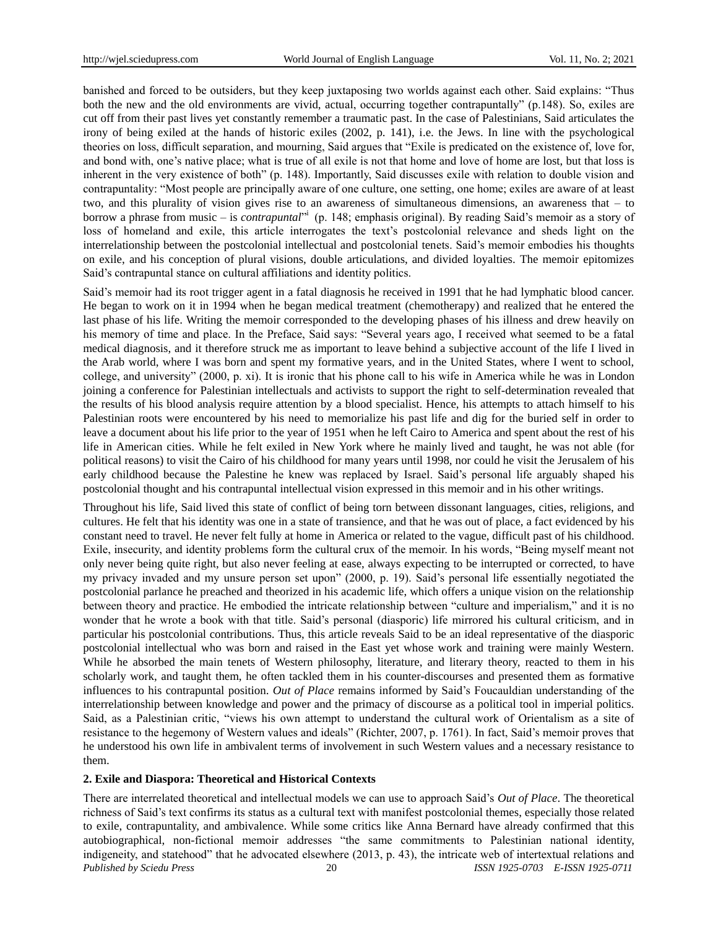banished and forced to be outsiders, but they keep juxtaposing two worlds against each other. Said explains: "Thus both the new and the old environments are vivid, actual, occurring together contrapuntally" (p.148). So, exiles are cut off from their past lives yet constantly remember a traumatic past. In the case of Palestinians, Said articulates the irony of being exiled at the hands of historic exiles (2002, p. 141), i.e. the Jews. In line with the psychological theories on loss, difficult separation, and mourning, Said argues that "Exile is predicated on the existence of, love for, and bond with, one's native place; what is true of all exile is not that home and love of home are lost, but that loss is inherent in the very existence of both" (p. 148). Importantly, Said discusses exile with relation to double vision and contrapuntality: "Most people are principally aware of one culture, one setting, one home; exiles are aware of at least two, and this plurality of vision gives rise to an awareness of simultaneous dimensions, an awareness that – to borrow a phrase from music – is *contrapuntal*<sup>31</sup> (p. 148; emphasis original). By reading Said's memoir as a story of loss of homeland and exile, this article interrogates the text's postcolonial relevance and sheds light on the interrelationship between the postcolonial intellectual and postcolonial tenets. Said's memoir embodies his thoughts on exile, and his conception of plural visions, double articulations, and divided loyalties. The memoir epitomizes Said's contrapuntal stance on cultural affiliations and identity politics.

Said's memoir had its root trigger agent in a fatal diagnosis he received in 1991 that he had lymphatic blood cancer. He began to work on it in 1994 when he began medical treatment (chemotherapy) and realized that he entered the last phase of his life. Writing the memoir corresponded to the developing phases of his illness and drew heavily on his memory of time and place. In the Preface, Said says: "Several years ago, I received what seemed to be a fatal medical diagnosis, and it therefore struck me as important to leave behind a subjective account of the life I lived in the Arab world, where I was born and spent my formative years, and in the United States, where I went to school, college, and university‖ (2000, p. xi). It is ironic that his phone call to his wife in America while he was in London joining a conference for Palestinian intellectuals and activists to support the right to self-determination revealed that the results of his blood analysis require attention by a blood specialist. Hence, his attempts to attach himself to his Palestinian roots were encountered by his need to memorialize his past life and dig for the buried self in order to leave a document about his life prior to the year of 1951 when he left Cairo to America and spent about the rest of his life in American cities. While he felt exiled in New York where he mainly lived and taught, he was not able (for political reasons) to visit the Cairo of his childhood for many years until 1998, nor could he visit the Jerusalem of his early childhood because the Palestine he knew was replaced by Israel. Said's personal life arguably shaped his postcolonial thought and his contrapuntal intellectual vision expressed in this memoir and in his other writings.

Throughout his life, Said lived this state of conflict of being torn between dissonant languages, cities, religions, and cultures. He felt that his identity was one in a state of transience, and that he was out of place, a fact evidenced by his constant need to travel. He never felt fully at home in America or related to the vague, difficult past of his childhood. Exile, insecurity, and identity problems form the cultural crux of the memoir. In his words, "Being myself meant not only never being quite right, but also never feeling at ease, always expecting to be interrupted or corrected, to have my privacy invaded and my unsure person set upon" (2000, p. 19). Said's personal life essentially negotiated the postcolonial parlance he preached and theorized in his academic life, which offers a unique vision on the relationship between theory and practice. He embodied the intricate relationship between "culture and imperialism," and it is no wonder that he wrote a book with that title. Said's personal (diasporic) life mirrored his cultural criticism, and in particular his postcolonial contributions. Thus, this article reveals Said to be an ideal representative of the diasporic postcolonial intellectual who was born and raised in the East yet whose work and training were mainly Western. While he absorbed the main tenets of Western philosophy, literature, and literary theory, reacted to them in his scholarly work, and taught them, he often tackled them in his counter-discourses and presented them as formative influences to his contrapuntal position. *Out of Place* remains informed by Said's Foucauldian understanding of the interrelationship between knowledge and power and the primacy of discourse as a political tool in imperial politics. Said, as a Palestinian critic, "views his own attempt to understand the cultural work of Orientalism as a site of resistance to the hegemony of Western values and ideals" (Richter, 2007, p. 1761). In fact, Said's memoir proves that he understood his own life in ambivalent terms of involvement in such Western values and a necessary resistance to them.

#### **2. Exile and Diaspora: Theoretical and Historical Contexts**

*Published by Sciedu Press* 20 *ISSN 1925-0703 E-ISSN 1925-0711* There are interrelated theoretical and intellectual models we can use to approach Said's *Out of Place*. The theoretical richness of Said's text confirms its status as a cultural text with manifest postcolonial themes, especially those related to exile, contrapuntality, and ambivalence. While some critics like Anna Bernard have already confirmed that this autobiographical, non-fictional memoir addresses "the same commitments to Palestinian national identity, indigeneity, and statehood" that he advocated elsewhere (2013, p. 43), the intricate web of intertextual relations and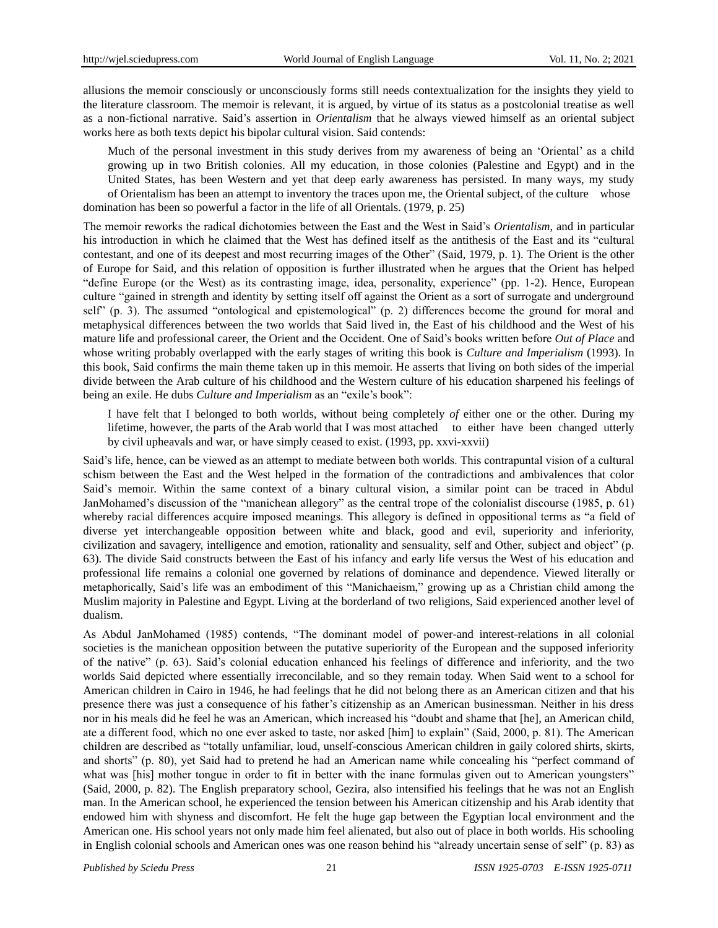allusions the memoir consciously or unconsciously forms still needs contextualization for the insights they yield to the literature classroom. The memoir is relevant, it is argued, by virtue of its status as a postcolonial treatise as well as a non-fictional narrative. Said's assertion in *Orientalism* that he always viewed himself as an oriental subject works here as both texts depict his bipolar cultural vision. Said contends:

Much of the personal investment in this study derives from my awareness of being an 'Oriental' as a child growing up in two British colonies. All my education, in those colonies (Palestine and Egypt) and in the United States, has been Western and yet that deep early awareness has persisted. In many ways, my study of Orientalism has been an attempt to inventory the traces upon me, the Oriental subject, of the culture whose domination has been so powerful a factor in the life of all Orientals. (1979, p. 25)

The memoir reworks the radical dichotomies between the East and the West in Said's *Orientalism*, and in particular his introduction in which he claimed that the West has defined itself as the antithesis of the East and its "cultural contestant, and one of its deepest and most recurring images of the Other" (Said, 1979, p. 1). The Orient is the other of Europe for Said, and this relation of opposition is further illustrated when he argues that the Orient has helped "define Europe (or the West) as its contrasting image, idea, personality, experience" (pp. 1-2). Hence, European culture "gained in strength and identity by setting itself off against the Orient as a sort of surrogate and underground self" (p. 3). The assumed "ontological and epistemological" (p. 2) differences become the ground for moral and metaphysical differences between the two worlds that Said lived in, the East of his childhood and the West of his mature life and professional career, the Orient and the Occident. One of Said's books written before *Out of Place* and whose writing probably overlapped with the early stages of writing this book is *Culture and Imperialism* (1993). In this book, Said confirms the main theme taken up in this memoir. He asserts that living on both sides of the imperial divide between the Arab culture of his childhood and the Western culture of his education sharpened his feelings of being an exile. He dubs *Culture and Imperialism* as an "exile's book":

I have felt that I belonged to both worlds, without being completely *of* either one or the other. During my lifetime, however, the parts of the Arab world that I was most attached to either have been changed utterly by civil upheavals and war, or have simply ceased to exist. (1993, pp. xxvi-xxvii)

Said's life, hence, can be viewed as an attempt to mediate between both worlds. This contrapuntal vision of a cultural schism between the East and the West helped in the formation of the contradictions and ambivalences that color Said's memoir. Within the same context of a binary cultural vision, a similar point can be traced in Abdul JanMohamed's discussion of the "manichean allegory" as the central trope of the colonialist discourse (1985, p. 61) whereby racial differences acquire imposed meanings. This allegory is defined in oppositional terms as "a field of diverse yet interchangeable opposition between white and black, good and evil, superiority and inferiority, civilization and savagery, intelligence and emotion, rationality and sensuality, self and Other, subject and object" (p. 63). The divide Said constructs between the East of his infancy and early life versus the West of his education and professional life remains a colonial one governed by relations of dominance and dependence. Viewed literally or metaphorically, Said's life was an embodiment of this "Manichaeism," growing up as a Christian child among the Muslim majority in Palestine and Egypt. Living at the borderland of two religions, Said experienced another level of dualism.

As Abdul JanMohamed (1985) contends, "The dominant model of power-and interest-relations in all colonial societies is the manichean opposition between the putative superiority of the European and the supposed inferiority of the native" (p. 63). Said's colonial education enhanced his feelings of difference and inferiority, and the two worlds Said depicted where essentially irreconcilable, and so they remain today. When Said went to a school for American children in Cairo in 1946, he had feelings that he did not belong there as an American citizen and that his presence there was just a consequence of his father's citizenship as an American businessman. Neither in his dress nor in his meals did he feel he was an American, which increased his "doubt and shame that [he], an American child, ate a different food, which no one ever asked to taste, nor asked [him] to explain" (Said, 2000, p. 81). The American children are described as "totally unfamiliar, loud, unself-conscious American children in gaily colored shirts, skirts, and shorts" (p. 80), yet Said had to pretend he had an American name while concealing his "perfect command of what was [his] mother tongue in order to fit in better with the inane formulas given out to American youngsters" (Said, 2000, p. 82). The English preparatory school, Gezira, also intensified his feelings that he was not an English man. In the American school, he experienced the tension between his American citizenship and his Arab identity that endowed him with shyness and discomfort. He felt the huge gap between the Egyptian local environment and the American one. His school years not only made him feel alienated, but also out of place in both worlds. His schooling in English colonial schools and American ones was one reason behind his "already uncertain sense of self" (p. 83) as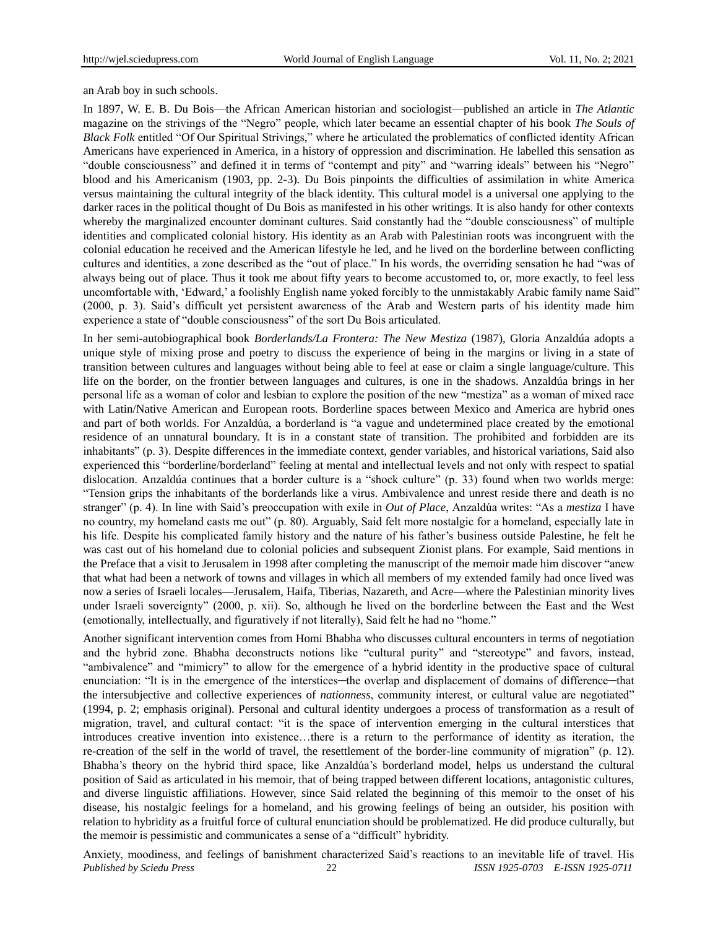an Arab boy in such schools.

In 1897, W. E. B. Du Bois—the African American historian and sociologist—published an article in *The Atlantic* magazine on the strivings of the "Negro" people, which later became an essential chapter of his book *The Souls of Black Folk* entitled "Of Our Spiritual Strivings," where he articulated the problematics of conflicted identity African Americans have experienced in America, in a history of oppression and discrimination. He labelled this sensation as "double consciousness" and defined it in terms of "contempt and pity" and "warring ideals" between his "Negro" blood and his Americanism (1903, pp. 2-3). Du Bois pinpoints the difficulties of assimilation in white America versus maintaining the cultural integrity of the black identity. This cultural model is a universal one applying to the darker races in the political thought of Du Bois as manifested in his other writings. It is also handy for other contexts whereby the marginalized encounter dominant cultures. Said constantly had the "double consciousness" of multiple identities and complicated colonial history. His identity as an Arab with Palestinian roots was incongruent with the colonial education he received and the American lifestyle he led, and he lived on the borderline between conflicting cultures and identities, a zone described as the "out of place." In his words, the overriding sensation he had "was of always being out of place. Thus it took me about fifty years to become accustomed to, or, more exactly, to feel less uncomfortable with, 'Edward,' a foolishly English name yoked forcibly to the unmistakably Arabic family name Said" (2000, p. 3). Said's difficult yet persistent awareness of the Arab and Western parts of his identity made him experience a state of "double consciousness" of the sort Du Bois articulated.

In her semi-autobiographical book *Borderlands/La Frontera: The New Mestiza* (1987), Gloria Anzaldúa adopts a unique style of mixing prose and poetry to discuss the experience of being in the margins or living in a state of transition between cultures and languages without being able to feel at ease or claim a single language/culture. This life on the border, on the frontier between languages and cultures, is one in the shadows. Anzaldúa brings in her personal life as a woman of color and lesbian to explore the position of the new "mestiza" as a woman of mixed race with Latin/Native American and European roots. Borderline spaces between Mexico and America are hybrid ones and part of both worlds. For Anzaldúa, a borderland is "a vague and undetermined place created by the emotional residence of an unnatural boundary. It is in a constant state of transition. The prohibited and forbidden are its inhabitants" (p. 3). Despite differences in the immediate context, gender variables, and historical variations, Said also experienced this "borderline/borderland" feeling at mental and intellectual levels and not only with respect to spatial dislocation. Anzaldúa continues that a border culture is a "shock culture" (p. 33) found when two worlds merge: ―Tension grips the inhabitants of the borderlands like a virus. Ambivalence and unrest reside there and death is no stranger" (p. 4). In line with Said's preoccupation with exile in *Out of Place*, Anzaldúa writes: "As a *mestiza* I have no country, my homeland casts me out" (p. 80). Arguably, Said felt more nostalgic for a homeland, especially late in his life. Despite his complicated family history and the nature of his father's business outside Palestine, he felt he was cast out of his homeland due to colonial policies and subsequent Zionist plans. For example, Said mentions in the Preface that a visit to Jerusalem in 1998 after completing the manuscript of the memoir made him discover "anew that what had been a network of towns and villages in which all members of my extended family had once lived was now a series of Israeli locales—Jerusalem, Haifa, Tiberias, Nazareth, and Acre—where the Palestinian minority lives under Israeli sovereignty" (2000, p. xii). So, although he lived on the borderline between the East and the West (emotionally, intellectually, and figuratively if not literally), Said felt he had no "home."

Another significant intervention comes from Homi Bhabha who discusses cultural encounters in terms of negotiation and the hybrid zone. Bhabha deconstructs notions like "cultural purity" and "stereotype" and favors, instead, "ambivalence" and "mimicry" to allow for the emergence of a hybrid identity in the productive space of cultural enunciation: "It is in the emergence of the interstices—the overlap and displacement of domains of difference—that the intersubjective and collective experiences of *nationness*, community interest, or cultural value are negotiated" (1994, p. 2; emphasis original). Personal and cultural identity undergoes a process of transformation as a result of migration, travel, and cultural contact: "it is the space of intervention emerging in the cultural interstices that introduces creative invention into existence…there is a return to the performance of identity as iteration, the re-creation of the self in the world of travel, the resettlement of the border-line community of migration" (p. 12). Bhabha's theory on the hybrid third space, like Anzaldúa's borderland model, helps us understand the cultural position of Said as articulated in his memoir, that of being trapped between different locations, antagonistic cultures, and diverse linguistic affiliations. However, since Said related the beginning of this memoir to the onset of his disease, his nostalgic feelings for a homeland, and his growing feelings of being an outsider, his position with relation to hybridity as a fruitful force of cultural enunciation should be problematized. He did produce culturally, but the memoir is pessimistic and communicates a sense of a "difficult" hybridity.

*Published by Sciedu Press* 22 *ISSN 1925-0703 E-ISSN 1925-0711* Anxiety, moodiness, and feelings of banishment characterized Said's reactions to an inevitable life of travel. His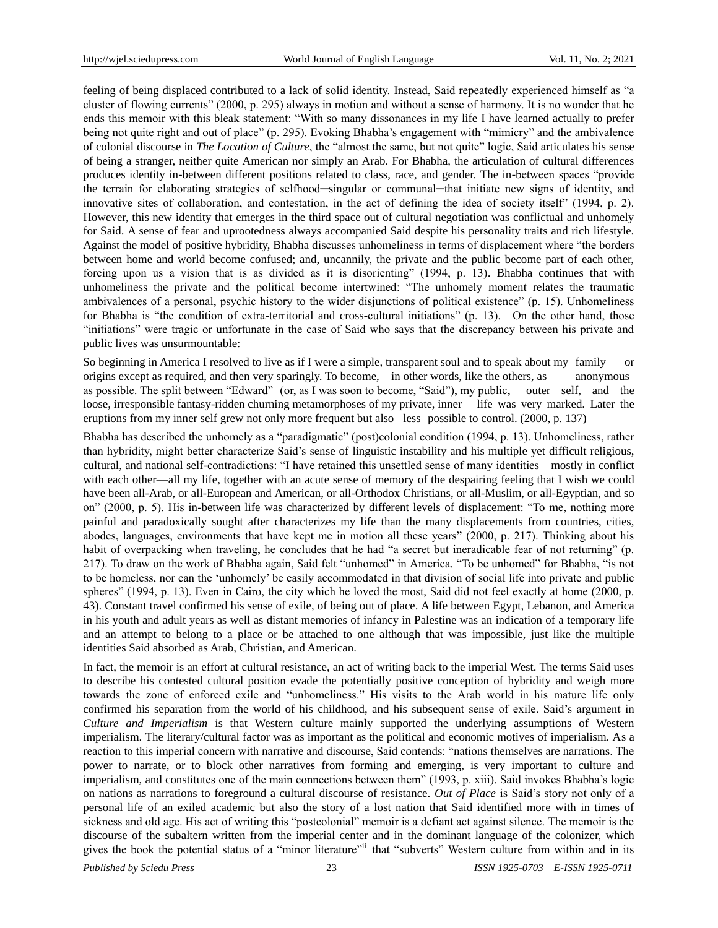feeling of being displaced contributed to a lack of solid identity. Instead, Said repeatedly experienced himself as "a cluster of flowing currents" (2000, p. 295) always in motion and without a sense of harmony. It is no wonder that he ends this memoir with this bleak statement: "With so many dissonances in my life I have learned actually to prefer being not quite right and out of place" (p. 295). Evoking Bhabha's engagement with "mimicry" and the ambivalence of colonial discourse in *The Location of Culture*, the "almost the same, but not quite" logic, Said articulates his sense of being a stranger, neither quite American nor simply an Arab. For Bhabha, the articulation of cultural differences produces identity in-between different positions related to class, race, and gender. The in-between spaces "provide the terrain for elaborating strategies of selfhood—singular or communal—that initiate new signs of identity, and innovative sites of collaboration, and contestation, in the act of defining the idea of society itself" (1994, p. 2). However, this new identity that emerges in the third space out of cultural negotiation was conflictual and unhomely for Said. A sense of fear and uprootedness always accompanied Said despite his personality traits and rich lifestyle. Against the model of positive hybridity, Bhabha discusses unhomeliness in terms of displacement where "the borders between home and world become confused; and, uncannily, the private and the public become part of each other, forcing upon us a vision that is as divided as it is disorienting" (1994, p. 13). Bhabha continues that with unhomeliness the private and the political become intertwined: "The unhomely moment relates the traumatic ambivalences of a personal, psychic history to the wider disjunctions of political existence" (p. 15). Unhomeliness for Bhabha is "the condition of extra-territorial and cross-cultural initiations" (p. 13). On the other hand, those ―initiations‖ were tragic or unfortunate in the case of Said who says that the discrepancy between his private and public lives was unsurmountable:

So beginning in America I resolved to live as if I were a simple, transparent soul and to speak about my family or origins except as required, and then very sparingly. To become, in other words, like the others, as anonymous as possible. The split between "Edward" (or, as I was soon to become, "Said"), my public, outer self, and the loose, irresponsible fantasy-ridden churning metamorphoses of my private, inner life was very marked. Later the eruptions from my inner self grew not only more frequent but also less possible to control. (2000, p. 137)

Bhabha has described the unhomely as a "paradigmatic" (post)colonial condition (1994, p. 13). Unhomeliness, rather than hybridity, might better characterize Said's sense of linguistic instability and his multiple yet difficult religious, cultural, and national self-contradictions: "I have retained this unsettled sense of many identities—mostly in conflict with each other—all my life, together with an acute sense of memory of the despairing feeling that I wish we could have been all-Arab, or all-European and American, or all-Orthodox Christians, or all-Muslim, or all-Egyptian, and so on" (2000, p. 5). His in-between life was characterized by different levels of displacement: "To me, nothing more painful and paradoxically sought after characterizes my life than the many displacements from countries, cities, abodes, languages, environments that have kept me in motion all these years" (2000, p. 217). Thinking about his habit of overpacking when traveling, he concludes that he had "a secret but ineradicable fear of not returning" (p. 217). To draw on the work of Bhabha again, Said felt "unhomed" in America. "To be unhomed" for Bhabha, "is not to be homeless, nor can the ‗unhomely' be easily accommodated in that division of social life into private and public spheres" (1994, p. 13). Even in Cairo, the city which he loved the most, Said did not feel exactly at home (2000, p. 43). Constant travel confirmed his sense of exile, of being out of place. A life between Egypt, Lebanon, and America in his youth and adult years as well as distant memories of infancy in Palestine was an indication of a temporary life and an attempt to belong to a place or be attached to one although that was impossible, just like the multiple identities Said absorbed as Arab, Christian, and American.

In fact, the memoir is an effort at cultural resistance, an act of writing back to the imperial West. The terms Said uses to describe his contested cultural position evade the potentially positive conception of hybridity and weigh more towards the zone of enforced exile and "unhomeliness." His visits to the Arab world in his mature life only confirmed his separation from the world of his childhood, and his subsequent sense of exile. Said's argument in *Culture and Imperialism* is that Western culture mainly supported the underlying assumptions of Western imperialism. The literary/cultural factor was as important as the political and economic motives of imperialism. As a reaction to this imperial concern with narrative and discourse, Said contends: "nations themselves are narrations. The power to narrate, or to block other narratives from forming and emerging, is very important to culture and imperialism, and constitutes one of the main connections between them" (1993, p. xiii). Said invokes Bhabha's logic on nations as narrations to foreground a cultural discourse of resistance. *Out of Place* is Said's story not only of a personal life of an exiled academic but also the story of a lost nation that Said identified more with in times of sickness and old age. His act of writing this "postcolonial" memoir is a defiant act against silence. The memoir is the discourse of the subaltern written from the imperial center and in the dominant language of the colonizer, which gives the book the potential status of a "minor literature" that "subverts" Western culture from within and in its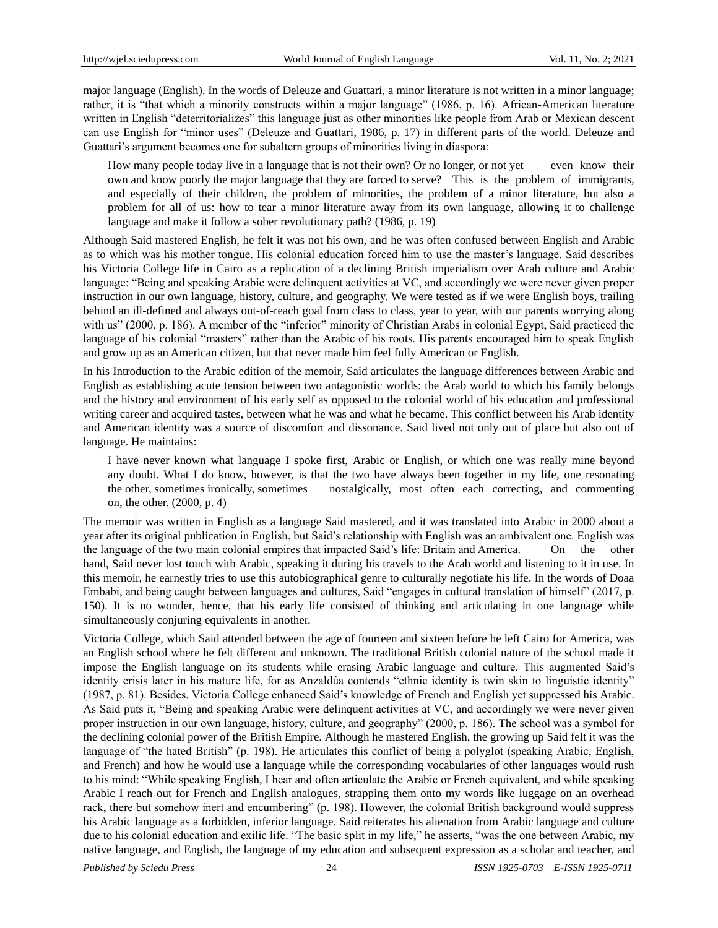major language (English). In the words of Deleuze and Guattari, a minor literature is not written in a minor language; rather, it is "that which a minority constructs within a major language" (1986, p. 16). African-American literature written in English "deterritorializes" this language just as other minorities like people from Arab or Mexican descent can use English for "minor uses" (Deleuze and Guattari, 1986, p. 17) in different parts of the world. Deleuze and Guattari's argument becomes one for subaltern groups of minorities living in diaspora:

How many people today live in a language that is not their own? Or no longer, or not yet even know their own and know poorly the major language that they are forced to serve? This is the problem of immigrants, and especially of their children, the problem of minorities, the problem of a minor literature, but also a problem for all of us: how to tear a minor literature away from its own language, allowing it to challenge language and make it follow a sober revolutionary path? (1986, p. 19)

Although Said mastered English, he felt it was not his own, and he was often confused between English and Arabic as to which was his mother tongue. His colonial education forced him to use the master's language. Said describes his Victoria College life in Cairo as a replication of a declining British imperialism over Arab culture and Arabic language: "Being and speaking Arabic were delinquent activities at VC, and accordingly we were never given proper instruction in our own language, history, culture, and geography. We were tested as if we were English boys, trailing behind an ill-defined and always out-of-reach goal from class to class, year to year, with our parents worrying along with us" (2000, p. 186). A member of the "inferior" minority of Christian Arabs in colonial Egypt, Said practiced the language of his colonial "masters" rather than the Arabic of his roots. His parents encouraged him to speak English and grow up as an American citizen, but that never made him feel fully American or English.

In his Introduction to the Arabic edition of the memoir, Said articulates the language differences between Arabic and English as establishing acute tension between two antagonistic worlds: the Arab world to which his family belongs and the history and environment of his early self as opposed to the colonial world of his education and professional writing career and acquired tastes, between what he was and what he became. This conflict between his Arab identity and American identity was a source of discomfort and dissonance. Said lived not only out of place but also out of language. He maintains:

I have never known what language I spoke first, Arabic or English, or which one was really mine beyond any doubt. What I do know, however, is that the two have always been together in my life, one resonating the other, sometimes ironically, sometimes nostalgically, most often each correcting, and commenting on, the other. (2000, p. 4)

The memoir was written in English as a language Said mastered, and it was translated into Arabic in 2000 about a year after its original publication in English, but Said's relationship with English was an ambivalent one. English was the language of the two main colonial empires that impacted Said's life: Britain and America. On the other hand, Said never lost touch with Arabic, speaking it during his travels to the Arab world and listening to it in use. In this memoir, he earnestly tries to use this autobiographical genre to culturally negotiate his life. In the words of Doaa Embabi, and being caught between languages and cultures, Said "engages in cultural translation of himself" (2017, p. 150). It is no wonder, hence, that his early life consisted of thinking and articulating in one language while simultaneously conjuring equivalents in another.

Victoria College, which Said attended between the age of fourteen and sixteen before he left Cairo for America, was an English school where he felt different and unknown. The traditional British colonial nature of the school made it impose the English language on its students while erasing Arabic language and culture. This augmented Said's identity crisis later in his mature life, for as Anzaldúa contends "ethnic identity is twin skin to linguistic identity" (1987, p. 81). Besides, Victoria College enhanced Said's knowledge of French and English yet suppressed his Arabic. As Said puts it, "Being and speaking Arabic were delinquent activities at VC, and accordingly we were never given proper instruction in our own language, history, culture, and geography‖ (2000, p. 186). The school was a symbol for the declining colonial power of the British Empire. Although he mastered English, the growing up Said felt it was the language of "the hated British" (p. 198). He articulates this conflict of being a polyglot (speaking Arabic, English, and French) and how he would use a language while the corresponding vocabularies of other languages would rush to his mind: "While speaking English, I hear and often articulate the Arabic or French equivalent, and while speaking Arabic I reach out for French and English analogues, strapping them onto my words like luggage on an overhead rack, there but somehow inert and encumbering" (p. 198). However, the colonial British background would suppress his Arabic language as a forbidden, inferior language. Said reiterates his alienation from Arabic language and culture due to his colonial education and exilic life. "The basic split in my life," he asserts, "was the one between Arabic, my native language, and English, the language of my education and subsequent expression as a scholar and teacher, and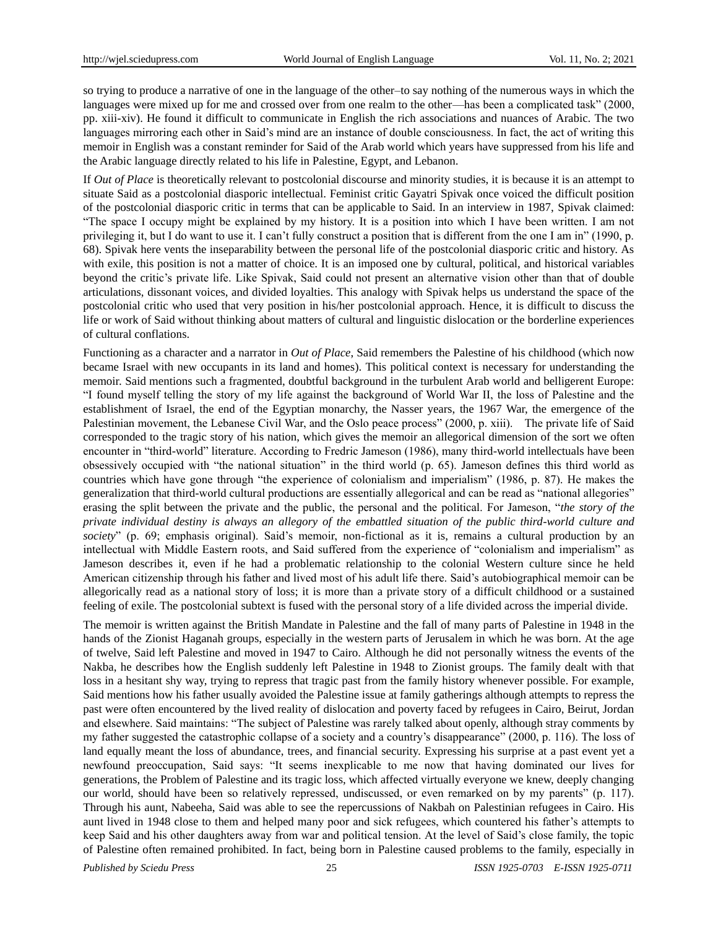so trying to produce a narrative of one in the language of the other–to say nothing of the numerous ways in which the languages were mixed up for me and crossed over from one realm to the other—has been a complicated task" (2000, pp. xiii-xiv). He found it difficult to communicate in English the rich associations and nuances of Arabic. The two languages mirroring each other in Said's mind are an instance of double consciousness. In fact, the act of writing this memoir in English was a constant reminder for Said of the Arab world which years have suppressed from his life and the Arabic language directly related to his life in Palestine, Egypt, and Lebanon.

If *Out of Place* is theoretically relevant to postcolonial discourse and minority studies, it is because it is an attempt to situate Said as a postcolonial diasporic intellectual. Feminist critic Gayatri Spivak once voiced the difficult position of the postcolonial diasporic critic in terms that can be applicable to Said. In an interview in 1987, Spivak claimed: ―The space I occupy might be explained by my history. It is a position into which I have been written. I am not privileging it, but I do want to use it. I can't fully construct a position that is different from the one I am in" (1990, p. 68). Spivak here vents the inseparability between the personal life of the postcolonial diasporic critic and history. As with exile, this position is not a matter of choice. It is an imposed one by cultural, political, and historical variables beyond the critic's private life. Like Spivak, Said could not present an alternative vision other than that of double articulations, dissonant voices, and divided loyalties. This analogy with Spivak helps us understand the space of the postcolonial critic who used that very position in his/her postcolonial approach. Hence, it is difficult to discuss the life or work of Said without thinking about matters of cultural and linguistic dislocation or the borderline experiences of cultural conflations.

Functioning as a character and a narrator in *Out of Place*, Said remembers the Palestine of his childhood (which now became Israel with new occupants in its land and homes). This political context is necessary for understanding the memoir. Said mentions such a fragmented, doubtful background in the turbulent Arab world and belligerent Europe: ―I found myself telling the story of my life against the background of World War II, the loss of Palestine and the establishment of Israel, the end of the Egyptian monarchy, the Nasser years, the 1967 War, the emergence of the Palestinian movement, the Lebanese Civil War, and the Oslo peace process" (2000, p. xiii). The private life of Said corresponded to the tragic story of his nation, which gives the memoir an allegorical dimension of the sort we often encounter in "third-world" literature. According to Fredric Jameson (1986), many third-world intellectuals have been obsessively occupied with "the national situation" in the third world (p. 65). Jameson defines this third world as countries which have gone through "the experience of colonialism and imperialism" (1986, p. 87). He makes the generalization that third-world cultural productions are essentially allegorical and can be read as "national allegories" erasing the split between the private and the public, the personal and the political. For Jameson, "*the story of the private individual destiny is always an allegory of the embattled situation of the public third-world culture and society*" (p. 69; emphasis original). Said's memoir, non-fictional as it is, remains a cultural production by an intellectual with Middle Eastern roots, and Said suffered from the experience of "colonialism and imperialism" as Jameson describes it, even if he had a problematic relationship to the colonial Western culture since he held American citizenship through his father and lived most of his adult life there. Said's autobiographical memoir can be allegorically read as a national story of loss; it is more than a private story of a difficult childhood or a sustained feeling of exile. The postcolonial subtext is fused with the personal story of a life divided across the imperial divide.

The memoir is written against the British Mandate in Palestine and the fall of many parts of Palestine in 1948 in the hands of the Zionist Haganah groups, especially in the western parts of Jerusalem in which he was born. At the age of twelve, Said left Palestine and moved in 1947 to Cairo. Although he did not personally witness the events of the Nakba, he describes how the English suddenly left Palestine in 1948 to Zionist groups. The family dealt with that loss in a hesitant shy way, trying to repress that tragic past from the family history whenever possible. For example, Said mentions how his father usually avoided the Palestine issue at family gatherings although attempts to repress the past were often encountered by the lived reality of dislocation and poverty faced by refugees in Cairo, Beirut, Jordan and elsewhere. Said maintains: "The subject of Palestine was rarely talked about openly, although stray comments by my father suggested the catastrophic collapse of a society and a country's disappearance" (2000, p. 116). The loss of land equally meant the loss of abundance, trees, and financial security. Expressing his surprise at a past event yet a newfound preoccupation, Said says: "It seems inexplicable to me now that having dominated our lives for generations, the Problem of Palestine and its tragic loss, which affected virtually everyone we knew, deeply changing our world, should have been so relatively repressed, undiscussed, or even remarked on by my parents" (p. 117). Through his aunt, Nabeeha, Said was able to see the repercussions of Nakbah on Palestinian refugees in Cairo. His aunt lived in 1948 close to them and helped many poor and sick refugees, which countered his father's attempts to keep Said and his other daughters away from war and political tension. At the level of Said's close family, the topic of Palestine often remained prohibited. In fact, being born in Palestine caused problems to the family, especially in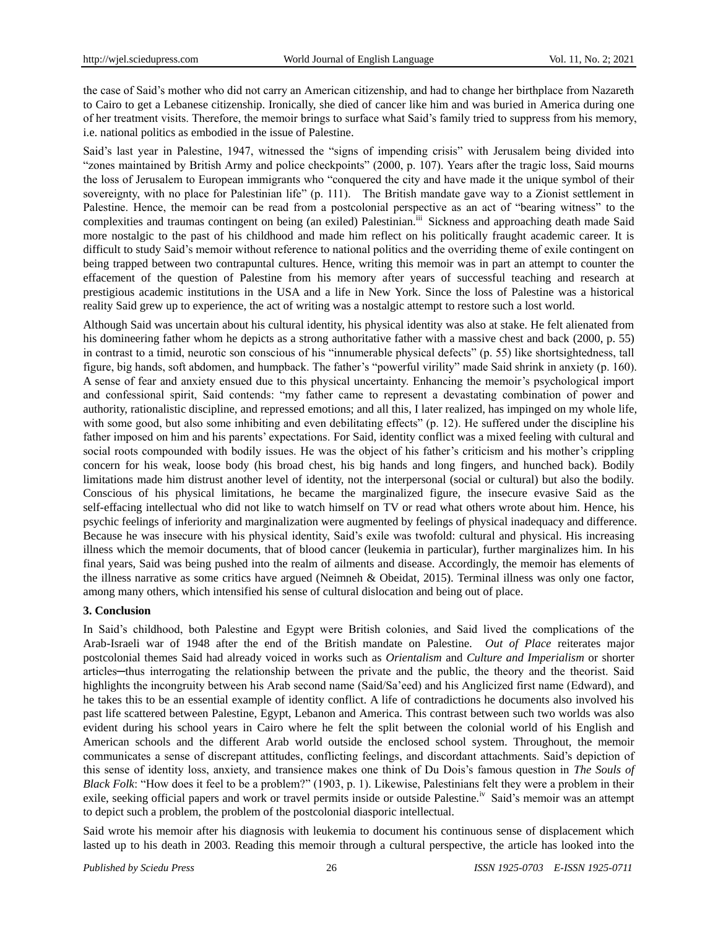the case of Said's mother who did not carry an American citizenship, and had to change her birthplace from Nazareth to Cairo to get a Lebanese citizenship. Ironically, she died of cancer like him and was buried in America during one of her treatment visits. Therefore, the memoir brings to surface what Said's family tried to suppress from his memory, i.e. national politics as embodied in the issue of Palestine.

Said's last year in Palestine, 1947, witnessed the "signs of impending crisis" with Jerusalem being divided into ―zones maintained by British Army and police checkpoints‖ (2000, p. 107). Years after the tragic loss, Said mourns the loss of Jerusalem to European immigrants who "conquered the city and have made it the unique symbol of their sovereignty, with no place for Palestinian life" (p. 111). The British mandate gave way to a Zionist settlement in Palestine. Hence, the memoir can be read from a postcolonial perspective as an act of "bearing witness" to the complexities and traumas contingent on being (an exiled) Palestinian.<sup>iii</sup> Sickness and approaching death made Said more nostalgic to the past of his childhood and made him reflect on his politically fraught academic career. It is difficult to study Said's memoir without reference to national politics and the overriding theme of exile contingent on being trapped between two contrapuntal cultures. Hence, writing this memoir was in part an attempt to counter the effacement of the question of Palestine from his memory after years of successful teaching and research at prestigious academic institutions in the USA and a life in New York. Since the loss of Palestine was a historical reality Said grew up to experience, the act of writing was a nostalgic attempt to restore such a lost world.

Although Said was uncertain about his cultural identity, his physical identity was also at stake. He felt alienated from his domineering father whom he depicts as a strong authoritative father with a massive chest and back (2000, p. 55) in contrast to a timid, neurotic son conscious of his "innumerable physical defects" (p. 55) like shortsightedness, tall figure, big hands, soft abdomen, and humpback. The father's "powerful virility" made Said shrink in anxiety (p. 160). A sense of fear and anxiety ensued due to this physical uncertainty. Enhancing the memoir's psychological import and confessional spirit, Said contends: "my father came to represent a devastating combination of power and authority, rationalistic discipline, and repressed emotions; and all this, I later realized, has impinged on my whole life, with some good, but also some inhibiting and even debilitating effects" (p. 12). He suffered under the discipline his father imposed on him and his parents' expectations. For Said, identity conflict was a mixed feeling with cultural and social roots compounded with bodily issues. He was the object of his father's criticism and his mother's crippling concern for his weak, loose body (his broad chest, his big hands and long fingers, and hunched back). Bodily limitations made him distrust another level of identity, not the interpersonal (social or cultural) but also the bodily. Conscious of his physical limitations, he became the marginalized figure, the insecure evasive Said as the self-effacing intellectual who did not like to watch himself on TV or read what others wrote about him. Hence, his psychic feelings of inferiority and marginalization were augmented by feelings of physical inadequacy and difference. Because he was insecure with his physical identity, Said's exile was twofold: cultural and physical. His increasing illness which the memoir documents, that of blood cancer (leukemia in particular), further marginalizes him. In his final years, Said was being pushed into the realm of ailments and disease. Accordingly, the memoir has elements of the illness narrative as some critics have argued (Neimneh & Obeidat, 2015). Terminal illness was only one factor, among many others, which intensified his sense of cultural dislocation and being out of place.

#### **3. Conclusion**

In Said's childhood, both Palestine and Egypt were British colonies, and Said lived the complications of the Arab-Israeli war of 1948 after the end of the British mandate on Palestine. *Out of Place* reiterates major postcolonial themes Said had already voiced in works such as *Orientalism* and *Culture and Imperialism* or shorter articles—thus interrogating the relationship between the private and the public, the theory and the theorist. Said highlights the incongruity between his Arab second name (Said/Sa'eed) and his Anglicized first name (Edward), and he takes this to be an essential example of identity conflict. A life of contradictions he documents also involved his past life scattered between Palestine, Egypt, Lebanon and America. This contrast between such two worlds was also evident during his school years in Cairo where he felt the split between the colonial world of his English and American schools and the different Arab world outside the enclosed school system. Throughout, the memoir communicates a sense of discrepant attitudes, conflicting feelings, and discordant attachments. Said's depiction of this sense of identity loss, anxiety, and transience makes one think of Du Dois's famous question in *The Souls of Black Folk*: "How does it feel to be a problem?" (1903, p. 1). Likewise, Palestinians felt they were a problem in their exile, seeking official papers and work or travel permits inside or outside Palestine.<sup>iv</sup> Said's memoir was an attempt to depict such a problem, the problem of the postcolonial diasporic intellectual.

Said wrote his memoir after his diagnosis with leukemia to document his continuous sense of displacement which lasted up to his death in 2003. Reading this memoir through a cultural perspective, the article has looked into the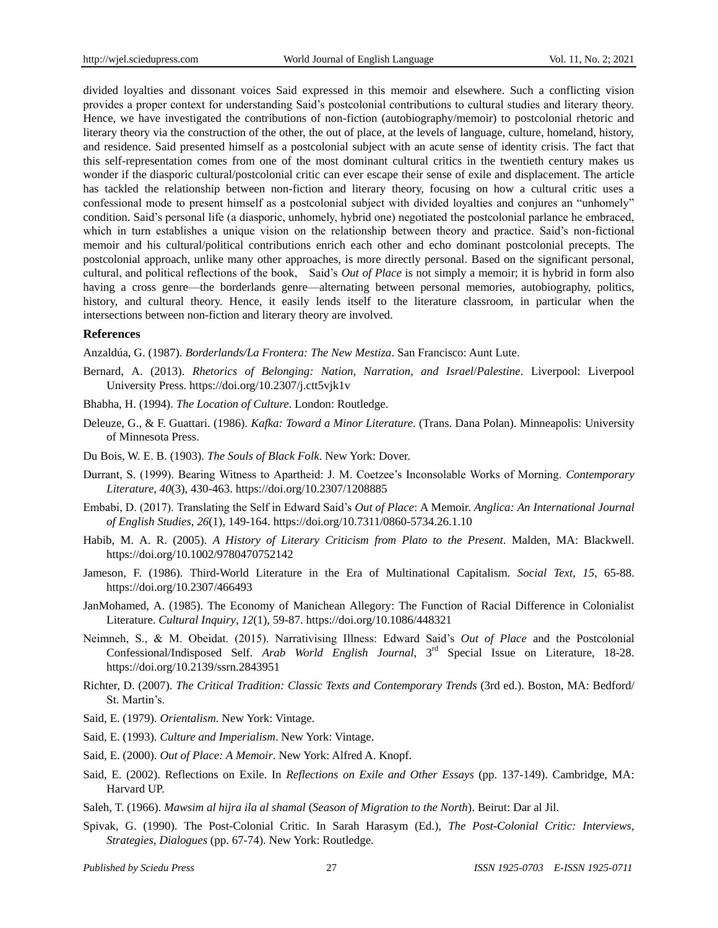divided loyalties and dissonant voices Said expressed in this memoir and elsewhere. Such a conflicting vision provides a proper context for understanding Said's postcolonial contributions to cultural studies and literary theory. Hence, we have investigated the contributions of non-fiction (autobiography/memoir) to postcolonial rhetoric and literary theory via the construction of the other, the out of place, at the levels of language, culture, homeland, history, and residence. Said presented himself as a postcolonial subject with an acute sense of identity crisis. The fact that this self-representation comes from one of the most dominant cultural critics in the twentieth century makes us wonder if the diasporic cultural/postcolonial critic can ever escape their sense of exile and displacement. The article has tackled the relationship between non-fiction and literary theory, focusing on how a cultural critic uses a confessional mode to present himself as a postcolonial subject with divided loyalties and conjures an "unhomely" condition. Said's personal life (a diasporic, unhomely, hybrid one) negotiated the postcolonial parlance he embraced, which in turn establishes a unique vision on the relationship between theory and practice. Said's non-fictional memoir and his cultural/political contributions enrich each other and echo dominant postcolonial precepts. The postcolonial approach, unlike many other approaches, is more directly personal. Based on the significant personal, cultural, and political reflections of the book, Said's *Out of Place* is not simply a memoir; it is hybrid in form also having a cross genre—the borderlands genre—alternating between personal memories, autobiography, politics, history, and cultural theory. Hence, it easily lends itself to the literature classroom, in particular when the intersections between non-fiction and literary theory are involved.

#### **References**

Anzaldúa, G. (1987). *Borderlands/La Frontera: The New Mestiza*. San Francisco: Aunt Lute.

- Bernard, A. (2013). *Rhetorics of Belonging: Nation, Narration, and Israel*/*Palestine*. Liverpool: Liverpool University Press. https://doi.org/10.2307/j.ctt5vjk1v
- Bhabha, H. (1994). *The Location of Culture*. London: Routledge.
- Deleuze, G., & F. Guattari. (1986). *Kafka: Toward a Minor Literature*. (Trans. Dana Polan). Minneapolis: University of Minnesota Press.
- Du Bois, W. E. B. (1903). *The Souls of Black Folk*. New York: Dover.
- Durrant, S. (1999). Bearing Witness to Apartheid: J. M. Coetzee's Inconsolable Works of Morning. *Contemporary Literature*, *40*(3), 430-463. https://doi.org/10.2307/1208885
- Embabi, D. (2017). Translating the Self in Edward Said's *Out of Place*: A Memoir. *Anglica: An International Journal of English Studies*, *26*(1), 149-164. https://doi.org/10.7311/0860-5734.26.1.10
- Habib, M. A. R. (2005). *A History of Literary Criticism from Plato to the Present*. Malden, MA: Blackwell. https://doi.org/10.1002/9780470752142
- Jameson, F. (1986). Third-World Literature in the Era of Multinational Capitalism. *Social Text*, *15,* 65-88. https://doi.org/10.2307/466493
- JanMohamed, A. (1985). The Economy of Manichean Allegory: The Function of Racial Difference in Colonialist Literature. *Cultural Inquiry*, *12*(1), 59-87. https://doi.org/10.1086/448321
- Neimneh, S., & M. Obeidat. (2015). Narrativising Illness: Edward Said's *Out of Place* and the Postcolonial Confessional/Indisposed Self. *Arab World English Journal*, 3rd Special Issue on Literature, 18-28. https://doi.org/10.2139/ssrn.2843951
- Richter, D. (2007). *The Critical Tradition: Classic Texts and Contemporary Trends* (3rd ed.). Boston, MA: Bedford/ St. Martin's.
- Said, E. (1979). *Orientalism*. New York: Vintage.
- Said, E. (1993). *Culture and Imperialism*. New York: Vintage.
- Said, E. (2000). *Out of Place: A Memoir*. New York: Alfred A. Knopf.
- Said, E. (2002). Reflections on Exile. In *Reflections on Exile and Other Essays* (pp. 137-149). Cambridge, MA: Harvard UP.
- Saleh, T. (1966). *Mawsim al hijra ila al shamal* (*Season of Migration to the North*). Beirut: Dar al Jil.
- Spivak, G. (1990). The Post-Colonial Critic. In Sarah Harasym (Ed.), *The Post-Colonial Critic: Interviews, Strategies, Dialogues* (pp. 67-74). New York: Routledge.